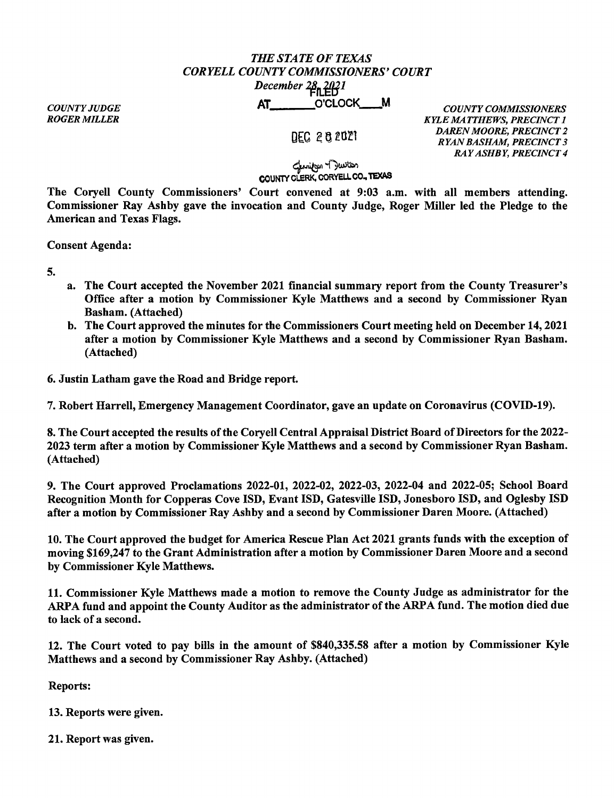## *THE STATE OF TEXAS CORYELLCOUNTYCOMMISSIONERS'COURT December* 28, 2021 December 4Ph,HB<sup>1</sup><br>AT\_\_\_\_\_\_\_\_O'CLOCK\_\_\_\_M

*COUNTY JUDGE ROGER MILLER* 

DEC 2 8 2021

*COUNTY COMMISSIONERS KYLE MATTHEWS, PRECINCT 1 DAREN MOORE, PRECINCT 2 RYAN BASHAM, PRECINCT 3 RAY ASHBY, PRECINCT 4* 

## للمنازجية المجلسات<br>COUNTY CLERK, CORYELL CO., TEXAS

The Coryell County Commissioners' Court convened at 9:03 a.m. with all members attending. Commissioner Ray Ashby gave the invocation and County Judge, Roger Miller led the Pledge to the American and Texas Flags.

Consent Agenda:

5.

- a. The Court accepted the November 2021 financial summary report from the County Treasurer's Office after a motion by Commissioner Kyle Matthews and a second by Commissioner Ryan Basham. (Attached)
- b. The Court approved the minutes for the Commissioners Court meeting held on December 14, 2021 after a motion by Commissioner Kyle Matthews and a second by Commissioner Ryan Basham. (Attached)

6. Justin Latham gave the Road and Bridge report.

7. Robert Harrell, Emergency Management Coordinator, gave an update on Coronavirus (COVID-19).

8. The Court accepted the results of the Coryell Central Appraisal District Board of Directors for the 2022- 2023 term after a motion by Commissioner Kyle Matthews and a second by Commissioner Ryan Basham. (Attached)

9. The Court approved Proclamations 2022-01, 2022-02, 2022-03, 2022-04 and 2022-05; School Board Recognition Month for Copperas Cove ISD, Evant ISD, Gatesville ISD, Jonesboro ISD, and Oglesby ISD after a motion by Commissioner Ray Ashby and a second by Commissioner Daren Moore. (Attached)

10. The Court approved the budget for America Rescue Plan Act 2021 grants funds with the exception of moving \$169,247 to the Grant Administration after a motion by Commissioner Daren Moore and a second by Commissioner Kyle Matthews.

11. Commissioner Kyle Matthews made a motion to remove the County Judge as administrator for the ARPA fund and appoint the County Auditor as the administrator of the ARPA fund. The motion died due to lack of a second.

12. The Court voted to pay bills in the amount of \$840,335.58 after a motion by Commissioner Kyle Matthews and a second by Commissioner Ray Ashby. (Attached)

Reports:

13. Reports were given.

21. Report was given.